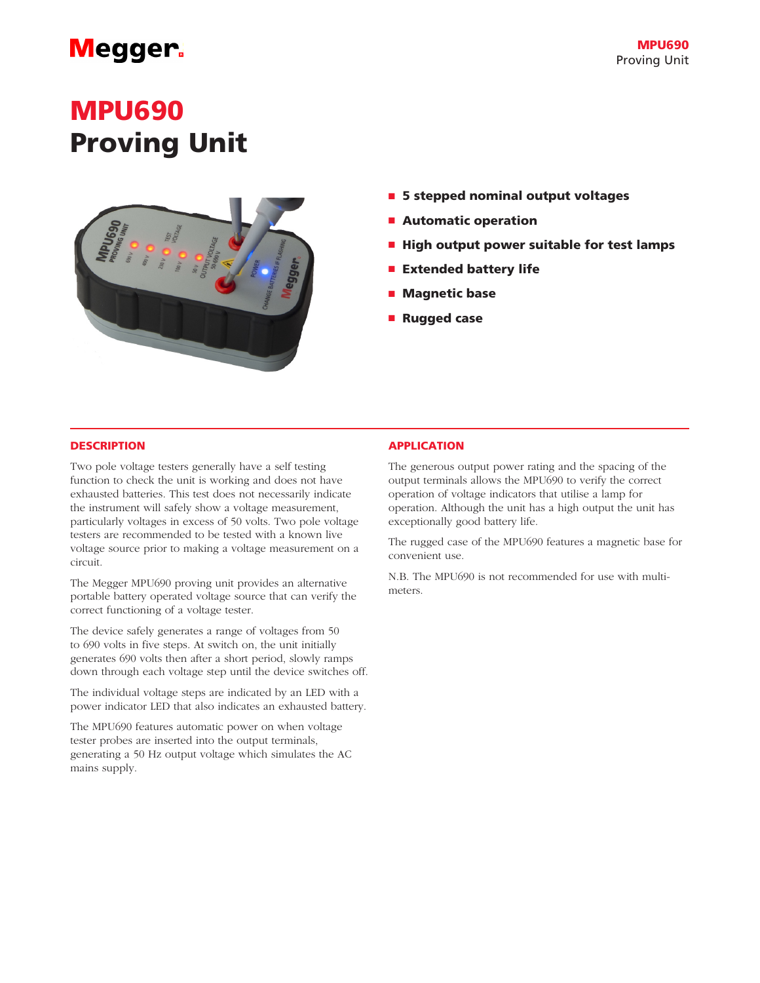## **Megger**

# MPU690 Proving Unit



- 5 stepped nominal output voltages
- Automatic operation
- High output power suitable for test lamps
- Extended battery life
- Magnetic base
- Rugged case

### **DESCRIPTION**

Two pole voltage testers generally have a self testing function to check the unit is working and does not have exhausted batteries. This test does not necessarily indicate the instrument will safely show a voltage measurement, particularly voltages in excess of 50 volts. Two pole voltage testers are recommended to be tested with a known live voltage source prior to making a voltage measurement on a circuit.

The Megger MPU690 proving unit provides an alternative portable battery operated voltage source that can verify the correct functioning of a voltage tester.

The device safely generates a range of voltages from 50 to 690 volts in five steps. At switch on, the unit initially generates 690 volts then after a short period, slowly ramps down through each voltage step until the device switches off.

The individual voltage steps are indicated by an LED with a power indicator LED that also indicates an exhausted battery.

The MPU690 features automatic power on when voltage tester probes are inserted into the output terminals, generating a 50 Hz output voltage which simulates the AC mains supply.

### APPLICATION

The generous output power rating and the spacing of the output terminals allows the MPU690 to verify the correct operation of voltage indicators that utilise a lamp for operation. Although the unit has a high output the unit has exceptionally good battery life.

The rugged case of the MPU690 features a magnetic base for convenient use.

N.B. The MPU690 is not recommended for use with multimeters.